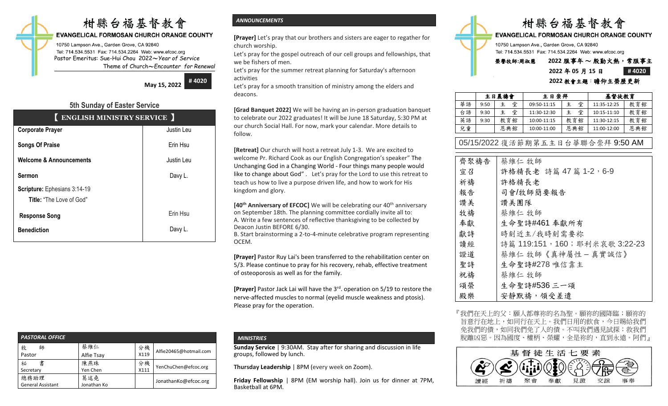# 柑縣台福基督教會

#### **EVANGELICAL FORMOSAN CHURCH ORANGE COUNTY**

10750 Lampson Ave., Garden Grove, CA 92840 Tel: 714.534.5531 Fax: 714.534.2264 Web: www.efcoc.org Pastor Emeritus: Sue-Hui Chou 2022〜*Year of Service* Theme of Church〜*Encounter for Renewal*

> **May 15, 2022 # 4020**

## **5th Sunday of Easter Service**

|                                    | <b>ENGLISH MINISTRY SERVICE</b> |  |  |  |  |
|------------------------------------|---------------------------------|--|--|--|--|
| <b>Corporate Prayer</b>            | Justin Leu                      |  |  |  |  |
| <b>Songs Of Praise</b>             | Erin Hsu                        |  |  |  |  |
| <b>Welcome &amp; Announcements</b> | Justin Leu                      |  |  |  |  |
| <b>Sermon</b>                      | Davy L.                         |  |  |  |  |
| Scripture: Ephesians 3:14-19       |                                 |  |  |  |  |
| <b>Title:</b> "The Love of God"    |                                 |  |  |  |  |
| <b>Response Song</b>               | Erin Hsu                        |  |  |  |  |
| <b>Benediction</b>                 | Davy L.                         |  |  |  |  |

| <b>PASTORAL OFFICE</b>           |                    |            |                        |
|----------------------------------|--------------------|------------|------------------------|
| 牧<br>師<br>Pastor                 | 蔡維仁<br>Alfie Tsay  | 分機<br>X119 | Alfie20465@hotmail.com |
| 書<br>祕<br>Secretary              | 陳燕珠<br>Yen Chen    | 分機<br>X111 | YenChuChen@efcoc.org   |
| 總務助理<br><b>General Assistant</b> | 葛述堯<br>Jonathan Ko |            | JonathanKo@efcoc.org   |

### *ANNOUNCEMENTS*

**[Prayer]** Let's pray that our brothers and sisters are eager to regather for church worship.

Let's pray for the gospel outreach of our cell groups and fellowships, that we be fishers of men.

Let's pray for the summer retreat planning for Saturday's afternoon activities

Let's pray for a smooth transition of ministry among the elders and deacons.

**[Grad Banquet 2022]** We will be having an in-person graduation banquet to celebrate our 2022 graduates! It will be June 18 Saturday, 5:30 PM at our church Social Hall. For now, mark your calendar. More details to follow.

**[Retreat]** Our church will host a retreat July 1-3. We are excited to welcome Pr. Richard Cook as our English Congregation's speaker" The Unchanging God in a Changing World - Four things many people would like to change about God" . Let's pray for the Lord to use this retreat to teach us how to live a purpose driven life, and how to work for His kingdom and glory.

**[40<sup>th</sup> Anniversary of EFCOC]** We will be celebrating our 40<sup>th</sup> anniversary on September 18th. The planning committee cordially invite all to: A. Write a few sentences of reflective thanksgiving to be collected by Deacon Justin BEFORE 6/30.

B. Start brainstorming a 2-to-4-minute celebrative program representing OCEM.

**[Prayer]** Pastor Ruy Lai's been transferred to the rehabilitation center on 5/3. Please continue to pray for his recovery, rehab, effective treatment of osteoporosis as well as for the family.

[Prayer] Pastor Jack Lai will have the 3<sup>rd</sup>. operation on 5/19 to restore the nerve-affected muscles to normal (eyelid muscle weakness and ptosis). Please pray for the operation.

#### *MINISTRIES*

**Sunday Service** | 9:30AM. Stay after for sharing and discussion in life groups, followed by lunch.

**Thursday Leadership** | 8PM (every week on Zoom).

**Friday Fellowship** | 8PM (EM worship hall). Join us for dinner at 7PM, Basketball at 6PM.



#### **2022** 年 **05** 月 **15** 日 **# 4020 2022** 教會主題:瞻仰主榮歷更新

|    | 主日晨禱會 |        | 主日崇拜        |        | 基督徒教育           |     |
|----|-------|--------|-------------|--------|-----------------|-----|
| 華語 | 9:50  | 堂<br>主 | 09:50-11:15 | 堂<br>主 | 11:35-12:25     | 教育館 |
| 台語 | 9:30  | 堂<br>主 | 11:30-12:30 | 堂<br>主 | $10:15 - 11:10$ | 教育館 |
| 英語 | 9:30  | 教育館    | 10:00-11:15 | 教育館    | 11:30-12:15     | 教育館 |
| 兒童 |       | 恩典館    | 10:00-11:00 | 恩典館    | 11:00-12:00     | 恩典館 |

05/15/2022 復活節期第五主日台華聯合崇拜 9:50 AM

| 齊聚禱告 | 蔡維仁 牧師                       |
|------|------------------------------|
| 宣召   | 許格精長老 詩篇 47篇 1-2, 6-9        |
| 祈禱   | 許格精長老                        |
| 報告   | 司會/牧師簡要報告                    |
| 讚美   | 讚美團隊                         |
| 牧禱   | 蔡維仁 牧師                       |
| 奉獻   | 生命聖詩#461 奉獻所有                |
| 獻詩   | 時刻近主/我時刻需要祢                  |
| 讀經   | 詩篇 119:151,160;耶利米哀歌 3:22-23 |
| 證道   | 蔡維仁 牧師《真神屬性 - 真實誠信》          |
| 聖詩   | 生命聖詩#278 唯信靠主                |
| 祝禱   | 蔡維仁 牧師                       |
| 頌榮   | 生命聖詩#536 三一頌                 |
| 殿樂   | 安靜默禱, 領受差遣                   |

『我們在天上的父:願人都尊祢的名為聖。願祢的國降臨;願祢的 旨意行在地上,如同行在天上。我們日用的飲食,今日賜給我們 免我們的債,如同我們免了人的債。不叫我們遇見試探;救我們 脫離凶惡。因為國度、權柄、榮耀,全是祢的,直到永遠。阿們』